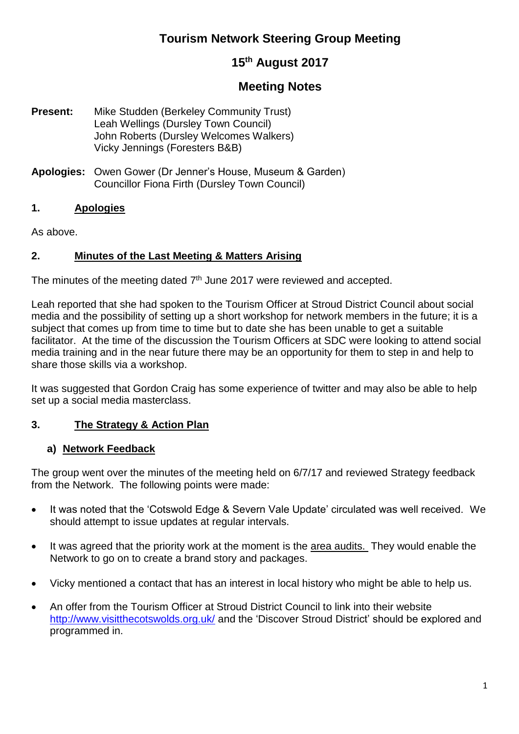# **Tourism Network Steering Group Meeting**

## **15th August 2017**

# **Meeting Notes**

- **Present:** Mike Studden (Berkeley Community Trust) Leah Wellings (Dursley Town Council) John Roberts (Dursley Welcomes Walkers) Vicky Jennings (Foresters B&B)
- **Apologies:** Owen Gower (Dr Jenner's House, Museum & Garden) Councillor Fiona Firth (Dursley Town Council)

#### **1. Apologies**

As above.

#### **2. Minutes of the Last Meeting & Matters Arising**

The minutes of the meeting dated  $7<sup>th</sup>$  June 2017 were reviewed and accepted.

Leah reported that she had spoken to the Tourism Officer at Stroud District Council about social media and the possibility of setting up a short workshop for network members in the future; it is a subject that comes up from time to time but to date she has been unable to get a suitable facilitator. At the time of the discussion the Tourism Officers at SDC were looking to attend social media training and in the near future there may be an opportunity for them to step in and help to share those skills via a workshop.

It was suggested that Gordon Craig has some experience of twitter and may also be able to help set up a social media masterclass.

## **3. The Strategy & Action Plan**

#### **a) Network Feedback**

The group went over the minutes of the meeting held on 6/7/17 and reviewed Strategy feedback from the Network. The following points were made:

- It was noted that the 'Cotswold Edge & Severn Vale Update' circulated was well received. We should attempt to issue updates at regular intervals.
- It was agreed that the priority work at the moment is the area audits. They would enable the Network to go on to create a brand story and packages.
- Vicky mentioned a contact that has an interest in local history who might be able to help us.
- An offer from the Tourism Officer at Stroud District Council to link into their website <http://www.visitthecotswolds.org.uk/> and the 'Discover Stroud District' should be explored and programmed in.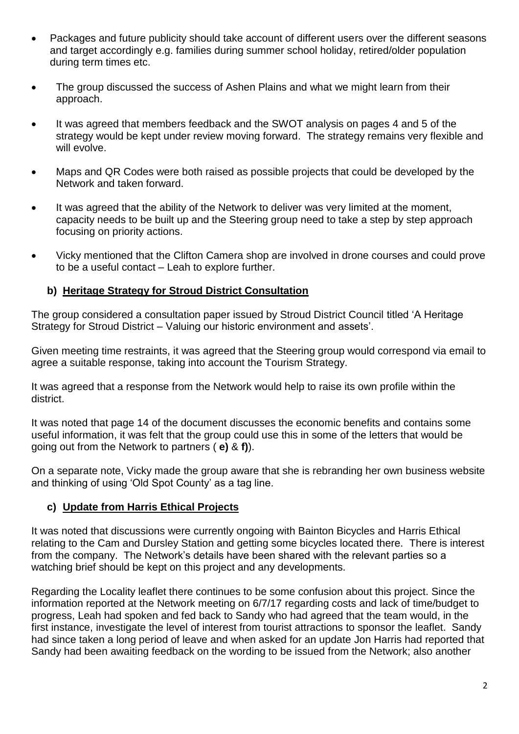- Packages and future publicity should take account of different users over the different seasons and target accordingly e.g. families during summer school holiday, retired/older population during term times etc.
- The group discussed the success of Ashen Plains and what we might learn from their approach.
- It was agreed that members feedback and the SWOT analysis on pages 4 and 5 of the strategy would be kept under review moving forward. The strategy remains very flexible and will evolve.
- Maps and QR Codes were both raised as possible projects that could be developed by the Network and taken forward.
- It was agreed that the ability of the Network to deliver was very limited at the moment, capacity needs to be built up and the Steering group need to take a step by step approach focusing on priority actions.
- Vicky mentioned that the Clifton Camera shop are involved in drone courses and could prove to be a useful contact – Leah to explore further.

#### **b) Heritage Strategy for Stroud District Consultation**

The group considered a consultation paper issued by Stroud District Council titled 'A Heritage Strategy for Stroud District – Valuing our historic environment and assets'.

Given meeting time restraints, it was agreed that the Steering group would correspond via email to agree a suitable response, taking into account the Tourism Strategy.

It was agreed that a response from the Network would help to raise its own profile within the district.

It was noted that page 14 of the document discusses the economic benefits and contains some useful information, it was felt that the group could use this in some of the letters that would be going out from the Network to partners ( **e)** & **f)**).

On a separate note, Vicky made the group aware that she is rebranding her own business website and thinking of using 'Old Spot County' as a tag line.

## **c) Update from Harris Ethical Projects**

It was noted that discussions were currently ongoing with Bainton Bicycles and Harris Ethical relating to the Cam and Dursley Station and getting some bicycles located there. There is interest from the company. The Network's details have been shared with the relevant parties so a watching brief should be kept on this project and any developments.

Regarding the Locality leaflet there continues to be some confusion about this project. Since the information reported at the Network meeting on 6/7/17 regarding costs and lack of time/budget to progress, Leah had spoken and fed back to Sandy who had agreed that the team would, in the first instance, investigate the level of interest from tourist attractions to sponsor the leaflet. Sandy had since taken a long period of leave and when asked for an update Jon Harris had reported that Sandy had been awaiting feedback on the wording to be issued from the Network; also another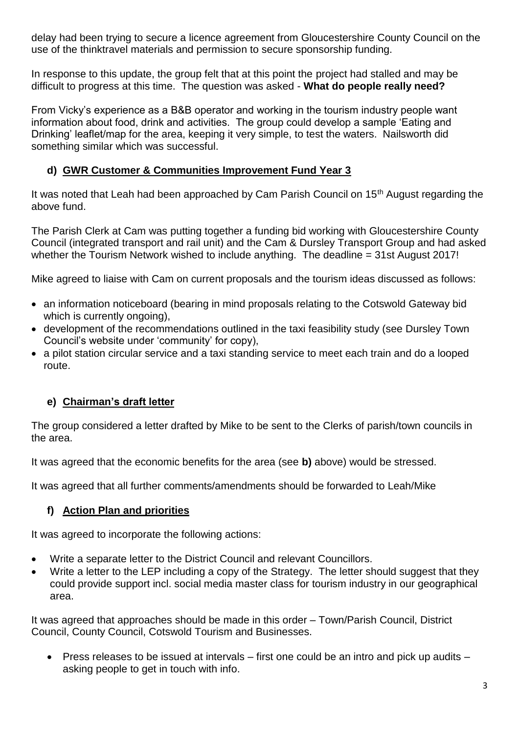delay had been trying to secure a licence agreement from Gloucestershire County Council on the use of the thinktravel materials and permission to secure sponsorship funding.

In response to this update, the group felt that at this point the project had stalled and may be difficult to progress at this time. The question was asked - **What do people really need?**

From Vicky's experience as a B&B operator and working in the tourism industry people want information about food, drink and activities. The group could develop a sample 'Eating and Drinking' leaflet/map for the area, keeping it very simple, to test the waters. Nailsworth did something similar which was successful.

### **d) GWR Customer & Communities Improvement Fund Year 3**

It was noted that Leah had been approached by Cam Parish Council on  $15<sup>th</sup>$  August regarding the above fund.

The Parish Clerk at Cam was putting together a funding bid working with Gloucestershire County Council (integrated transport and rail unit) and the Cam & Dursley Transport Group and had asked whether the Tourism Network wished to include anything. The deadline = 31st August 2017!

Mike agreed to liaise with Cam on current proposals and the tourism ideas discussed as follows:

- an information noticeboard (bearing in mind proposals relating to the Cotswold Gateway bid which is currently ongoing),
- development of the recommendations outlined in the taxi feasibility study (see Dursley Town Council's website under 'community' for copy),
- a pilot station circular service and a taxi standing service to meet each train and do a looped route.

## **e) Chairman's draft letter**

The group considered a letter drafted by Mike to be sent to the Clerks of parish/town councils in the area.

It was agreed that the economic benefits for the area (see **b)** above) would be stressed.

It was agreed that all further comments/amendments should be forwarded to Leah/Mike

#### **f) Action Plan and priorities**

It was agreed to incorporate the following actions:

- Write a separate letter to the District Council and relevant Councillors.
- Write a letter to the LEP including a copy of the Strategy. The letter should suggest that they could provide support incl. social media master class for tourism industry in our geographical area.

It was agreed that approaches should be made in this order – Town/Parish Council, District Council, County Council, Cotswold Tourism and Businesses.

• Press releases to be issued at intervals – first one could be an intro and pick up audits – asking people to get in touch with info.